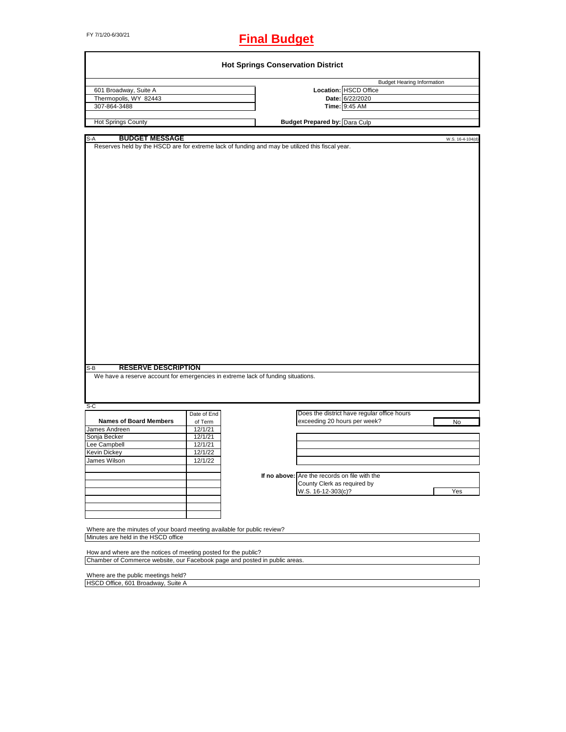## FY 7/1/20-6/30/21 **Final Budget**

|                                                                                                                       |             | <b>Hot Springs Conservation District</b> |                                               |                                                            |                  |
|-----------------------------------------------------------------------------------------------------------------------|-------------|------------------------------------------|-----------------------------------------------|------------------------------------------------------------|------------------|
|                                                                                                                       |             |                                          |                                               |                                                            |                  |
|                                                                                                                       |             |                                          |                                               | <b>Budget Hearing Information</b><br>Location: HSCD Office |                  |
| 601 Broadway, Suite A                                                                                                 |             |                                          |                                               |                                                            |                  |
| Thermopolis, WY 82443                                                                                                 |             |                                          |                                               | Date: 6/22/2020                                            |                  |
| 307-864-3488                                                                                                          |             |                                          |                                               | Time: 9:45 AM                                              |                  |
| <b>Hot Springs County</b>                                                                                             |             |                                          | <b>Budget Prepared by: Dara Culp</b>          |                                                            |                  |
|                                                                                                                       |             |                                          |                                               |                                                            |                  |
| <b>BUDGET MESSAGE</b><br>S-A                                                                                          |             |                                          |                                               |                                                            | W.S. 16-4-104(d) |
| Reserves held by the HSCD are for extreme lack of funding and may be utilized this fiscal year.                       |             |                                          |                                               |                                                            |                  |
|                                                                                                                       |             |                                          |                                               |                                                            |                  |
| <b>RESERVE DESCRIPTION</b><br>S-B<br>We have a reserve account for emergencies in extreme lack of funding situations. |             |                                          |                                               |                                                            |                  |
| $S-C$                                                                                                                 |             |                                          |                                               |                                                            |                  |
|                                                                                                                       | Date of End |                                          |                                               | Does the district have regular office hours                |                  |
| <b>Names of Board Members</b>                                                                                         | of Term     |                                          | exceeding 20 hours per week?                  |                                                            | No               |
| James Andreen                                                                                                         | 12/1/21     |                                          |                                               |                                                            |                  |
| Sonja Becker                                                                                                          | 12/1/21     |                                          |                                               |                                                            |                  |
| Lee Campbell                                                                                                          | 12/1/21     |                                          |                                               |                                                            |                  |
| <b>Kevin Dickey</b>                                                                                                   | 12/1/22     |                                          |                                               |                                                            |                  |
| James Wilson                                                                                                          | 12/1/22     |                                          |                                               |                                                            |                  |
|                                                                                                                       |             |                                          |                                               |                                                            |                  |
|                                                                                                                       |             |                                          |                                               |                                                            |                  |
|                                                                                                                       |             |                                          | If no above: Are the records on file with the |                                                            |                  |
|                                                                                                                       |             |                                          | County Clerk as required by                   |                                                            |                  |
|                                                                                                                       |             |                                          | W.S. 16-12-303(c)?                            |                                                            | Yes              |
|                                                                                                                       |             |                                          |                                               |                                                            |                  |
|                                                                                                                       |             |                                          |                                               |                                                            |                  |
|                                                                                                                       |             |                                          |                                               |                                                            |                  |
| Where are the minutes of your board meeting available for public review?<br>Minutes are held in the HSCD office       |             |                                          |                                               |                                                            |                  |
|                                                                                                                       |             |                                          |                                               |                                                            |                  |
| How and where are the notices of meeting posted for the public?                                                       |             |                                          |                                               |                                                            |                  |
| Chamber of Commerce website, our Facebook page and posted in public areas.                                            |             |                                          |                                               |                                                            |                  |
|                                                                                                                       |             |                                          |                                               |                                                            |                  |
| Where are the public meetings held?<br>HSCD Office, 601 Broadway, Suite A                                             |             |                                          |                                               |                                                            |                  |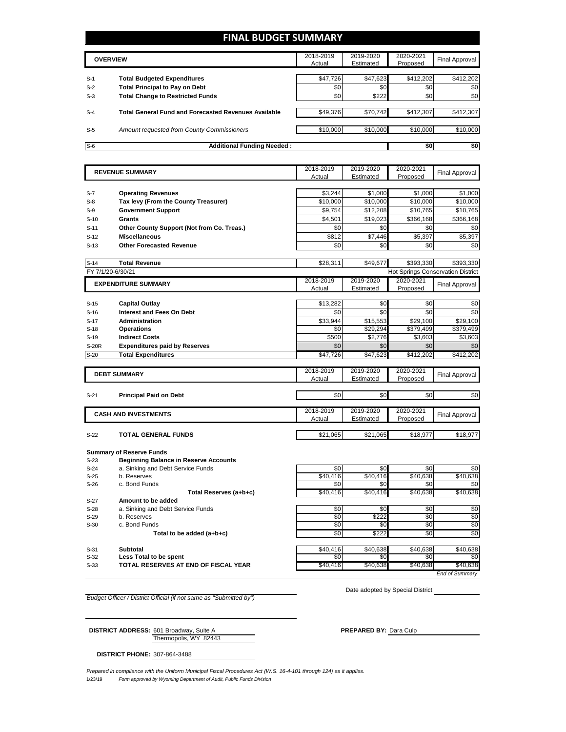#### **FINAL BUDGET SUMMARY**

|       | <b>OVERVIEW</b>                                             | 2018-2019<br>Actual | 2019-2020<br>Estimated | 2020-2021<br>Proposed | Final Approval |
|-------|-------------------------------------------------------------|---------------------|------------------------|-----------------------|----------------|
| $S-1$ | <b>Total Budgeted Expenditures</b>                          | \$47,726            | \$47,623               | \$412.202             | \$412,202      |
| $S-2$ | <b>Total Principal to Pay on Debt</b>                       | \$0                 | \$0                    | \$0                   | \$0            |
| $S-3$ | <b>Total Change to Restricted Funds</b>                     | \$0                 | \$222                  | \$0                   | \$0            |
| $S-4$ | <b>Total General Fund and Forecasted Revenues Available</b> | \$49,376            | \$70.742               | \$412.307             | \$412,307      |
| $S-5$ | Amount requested from County Commissioners                  | \$10,000            | \$10,000               | \$10,000              | \$10,000       |
| $S-6$ | <b>Additional Funding Needed:</b>                           |                     |                        | \$0                   | \$0            |

|                  | <b>REVENUE SUMMARY</b>                                    |                 | 2019-2020            | 2020-2021                         |                       |
|------------------|-----------------------------------------------------------|-----------------|----------------------|-----------------------------------|-----------------------|
|                  |                                                           |                 | Estimated            | Proposed                          | <b>Final Approval</b> |
|                  |                                                           | Actual          |                      |                                   |                       |
| $S-7$            | <b>Operating Revenues</b>                                 | \$3,244         | \$1,000              | \$1,000                           | \$1,000               |
| $S-8$            | Tax levy (From the County Treasurer)                      | \$10.000        | \$10.000             | \$10.000                          | \$10,000              |
| $S-9$            | <b>Government Support</b>                                 | \$9,754         | \$12,208             | \$10,765                          | \$10,765              |
| $S-10$           | Grants                                                    | \$4,501         | \$19,023             | \$366,168                         | \$366,168             |
| $S-11$           | Other County Support (Not from Co. Treas.)                | \$0             | \$0                  | \$0                               | \$0                   |
| $S-12$           | <b>Miscellaneous</b>                                      | \$812           | \$7,446              | \$5,397                           | \$5,397               |
| $S-13$           | <b>Other Forecasted Revenue</b>                           | \$0             | \$0                  | \$0                               | \$0                   |
|                  |                                                           |                 |                      |                                   |                       |
| $S-14$           | <b>Total Revenue</b>                                      | \$28,311        | \$49,677             | \$393,330                         | \$393,330             |
|                  | FY 7/1/20-6/30/21                                         |                 |                      | Hot Springs Conservation District |                       |
|                  | <b>EXPENDITURE SUMMARY</b>                                | 2018-2019       | 2019-2020            | 2020-2021                         | Final Approval        |
|                  |                                                           | Actual          | Estimated            | Proposed                          |                       |
|                  |                                                           | \$13,282        | \$0                  | \$0                               |                       |
| $S-15$           | <b>Capital Outlay</b><br><b>Interest and Fees On Debt</b> | \$0             | \$0                  | \$0                               | \$0<br>\$0            |
| $S-16$           |                                                           |                 |                      |                                   |                       |
| $S-17$<br>$S-18$ | <b>Administration</b><br><b>Operations</b>                | \$33,944<br>\$0 | \$15,553<br>\$29,294 | \$29,100<br>\$379,499             | \$29,100<br>\$379,499 |
| $S-19$           | <b>Indirect Costs</b>                                     | \$500           | \$2,776              | \$3,603                           | \$3,603               |
| S-20R            | <b>Expenditures paid by Reserves</b>                      | \$0             | \$0                  | \$0                               | \$0                   |
| $S-20$           | <b>Total Expenditures</b>                                 | \$47,726        | \$47,623             | \$412,202                         | \$412,202             |
|                  |                                                           |                 |                      |                                   |                       |
|                  | <b>DEBT SUMMARY</b>                                       | 2018-2019       | 2019-2020            | 2020-2021                         |                       |
|                  |                                                           | Actual          | Estimated            | Proposed                          | <b>Final Approval</b> |
|                  |                                                           |                 |                      |                                   |                       |
| $S-21$           | <b>Principal Paid on Debt</b>                             | \$0             | \$0                  | \$0                               | \$0                   |
|                  |                                                           | 2018-2019       | 2019-2020            | 2020-2021                         |                       |
|                  | <b>CASH AND INVESTMENTS</b>                               | Actual          | Estimated            | Proposed                          | <b>Final Approval</b> |
|                  |                                                           |                 |                      |                                   |                       |
| $S-22$           | <b>TOTAL GENERAL FUNDS</b>                                | \$21,065        | \$21,065             | \$18,977                          | \$18,977              |
|                  |                                                           |                 |                      |                                   |                       |
|                  | <b>Summary of Reserve Funds</b>                           |                 |                      |                                   |                       |
| $S-23$           | <b>Beginning Balance in Reserve Accounts</b>              |                 |                      |                                   |                       |
| 0.01             | <b>A. Obelowne was I Dalet Own dea Foundation</b>         | $\overline{a}$  | ∩∩l                  | ô۵                                | $\overline{a}$        |

| S-23   | <b>Beginning Balance in Reserve Accounts</b> |          |                  |          |          |
|--------|----------------------------------------------|----------|------------------|----------|----------|
| S-24   | a. Sinking and Debt Service Funds            | \$0      | \$0 <sub>1</sub> | \$0      | \$0      |
| $S-25$ | b. Reserves                                  | \$40.416 | \$40.416         | \$40.638 | \$40.638 |
| S-26   | c. Bond Funds                                | \$0      | <b>SO</b>        | \$0      | \$0      |
|        | Total Reserves (a+b+c)                       | \$40,416 | \$40,416         | \$40,638 | \$40,638 |
| S-27   | Amount to be added                           |          |                  |          |          |
| $S-28$ | a. Sinking and Debt Service Funds            | \$0      | \$0              | \$0      | \$0      |
| S-29   | b. Reserves                                  | \$0      | \$222            | \$0      | \$0      |
| $S-30$ | c. Bond Funds                                | \$0      | \$0              | \$0      | \$0      |
|        | Total to be added (a+b+c)                    | \$0      | \$222            | \$0      | \$0      |
|        |                                              |          |                  |          |          |
| S-31   | Subtotal                                     | \$40.416 | \$40.638         | \$40.638 | \$40.638 |
| S-32   | Less Total to be spent                       | \$0      | \$0              | \$0      | \$0      |
| S-33   | TOTAL RESERVES AT END OF FISCAL YEAR         | \$40.416 | \$40.638         | \$40.638 | \$40.638 |

*End of Summary*

*Budget Officer / District Official (if not same as "Submitted by")*

Date adopted by Special District

Thermopolis, WY 82443 **DISTRICT ADDRESS:** 601 Broadway, Suite A **PREPARED BY:** Dara Culp

**DISTRICT PHONE:** 307-864-3488

1/23/19 *Form approved by Wyoming Department of Audit, Public Funds Division Prepared in compliance with the Uniform Municipal Fiscal Procedures Act (W.S. 16-4-101 through 124) as it applies.*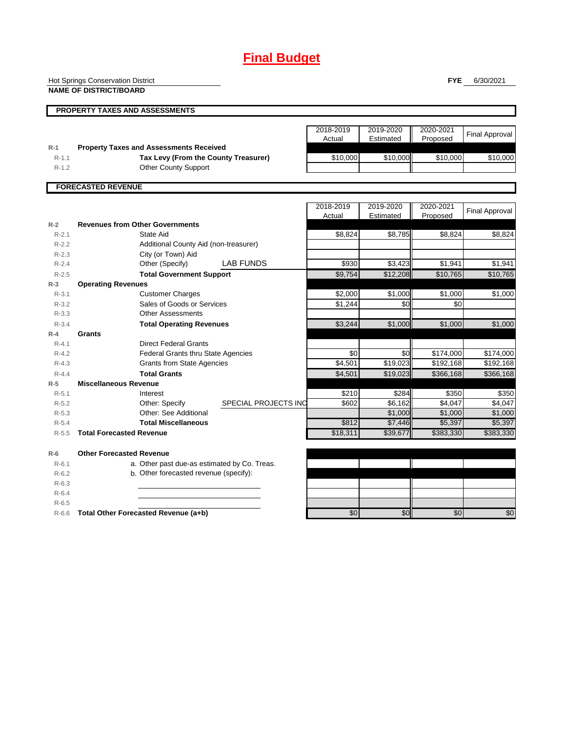## **Final Budget**

|                      | Hot Springs Conservation District              |                     |                        | <b>FYE</b>            | 6/30/2021             |
|----------------------|------------------------------------------------|---------------------|------------------------|-----------------------|-----------------------|
|                      | <b>NAME OF DISTRICT/BOARD</b>                  |                     |                        |                       |                       |
|                      | PROPERTY TAXES AND ASSESSMENTS                 |                     |                        |                       |                       |
|                      |                                                | 2018-2019           | 2019-2020              | 2020-2021             |                       |
|                      |                                                | Actual              | Estimated              | Proposed              | <b>Final Approval</b> |
| $R-1$                | <b>Property Taxes and Assessments Received</b> |                     |                        |                       |                       |
| $R - 1.1$            | Tax Levy (From the County Treasurer)           | \$10,000            | \$10,000               | \$10,000              | \$10,000              |
| $R-1.2$              | <b>Other County Support</b>                    |                     |                        |                       |                       |
|                      | <b>FORECASTED REVENUE</b>                      |                     |                        |                       |                       |
|                      |                                                |                     |                        |                       |                       |
|                      |                                                | 2018-2019<br>Actual | 2019-2020<br>Estimated | 2020-2021<br>Proposed | <b>Final Approval</b> |
| $R-2$                | <b>Revenues from Other Governments</b>         |                     |                        |                       |                       |
| $R - 2.1$            | State Aid                                      | \$8,824             | \$8,785                | \$8,824               | \$8,824               |
| $R-2.2$              | Additional County Aid (non-treasurer)          |                     |                        |                       |                       |
| $R - 2.3$            | City (or Town) Aid                             |                     |                        |                       |                       |
| $R-2.4$              | <b>LAB FUNDS</b><br>Other (Specify)            | \$930               | \$3,423                | \$1,941               | \$1,941               |
| $R-2.5$              | <b>Total Government Support</b>                | \$9,754             | \$12,208               | \$10,765              | \$10,765              |
| $R-3$                | <b>Operating Revenues</b>                      |                     |                        |                       |                       |
| $R - 3.1$            | <b>Customer Charges</b>                        | \$2,000             | \$1,000                | \$1,000               | \$1,000               |
| $R-3.2$              | Sales of Goods or Services                     | \$1,244             | \$0                    | \$0                   |                       |
| $R - 3.3$            | <b>Other Assessments</b>                       |                     |                        |                       |                       |
| $R - 3.4$            | <b>Total Operating Revenues</b>                | \$3.244             | \$1,000                | \$1,000               | \$1,000               |
| $R-4$                | Grants                                         |                     |                        |                       |                       |
| $R - 4.1$            | <b>Direct Federal Grants</b>                   |                     |                        |                       |                       |
| $R - 4.2$            | Federal Grants thru State Agencies             | \$0                 | \$0                    | \$174,000             | \$174,000             |
| $R-4.3$              | <b>Grants from State Agencies</b>              | \$4,501             | \$19,023               | \$192,168             | \$192,168             |
| $R - 4.4$            | <b>Total Grants</b>                            | \$4,501             | \$19,023               | \$366,168             | \$366,168             |
| $R-5$                | <b>Miscellaneous Revenue</b>                   |                     |                        |                       |                       |
| $R - 5.1$<br>$R-5.2$ | Interest<br>SPECIAL PROJECTS INC               | \$210<br>\$602      | \$284<br>\$6,162       | \$350<br>\$4,047      | \$350<br>\$4,047      |
| $R-5.3$              | Other: Specify<br>Other: See Additional        |                     | \$1,000                | $\overline{$1,000}$   | \$1,000               |
| $R - 5.4$            | <b>Total Miscellaneous</b>                     | \$812               | \$7,446                | \$5,397               | \$5,397               |
| $R - 5.5$            | <b>Total Forecasted Revenue</b>                | \$18,311            | \$39,677               | \$383,330             | \$383.330             |
| $R-6$                | <b>Other Forecasted Revenue</b>                |                     |                        |                       |                       |
| $R-6.1$              | a. Other past due-as estimated by Co. Treas.   |                     |                        |                       |                       |
| $R-6.2$              | b. Other forecasted revenue (specify):         |                     |                        |                       |                       |
| $R-6.3$              |                                                |                     |                        |                       |                       |
| $R-6.4$              |                                                |                     |                        |                       |                       |
| $R-6.5$              |                                                |                     |                        |                       |                       |
|                      |                                                |                     |                        |                       |                       |

R-6.6 **Total Other Forecasted Revenue (a+b)** \$0 \$0 \$0 \$0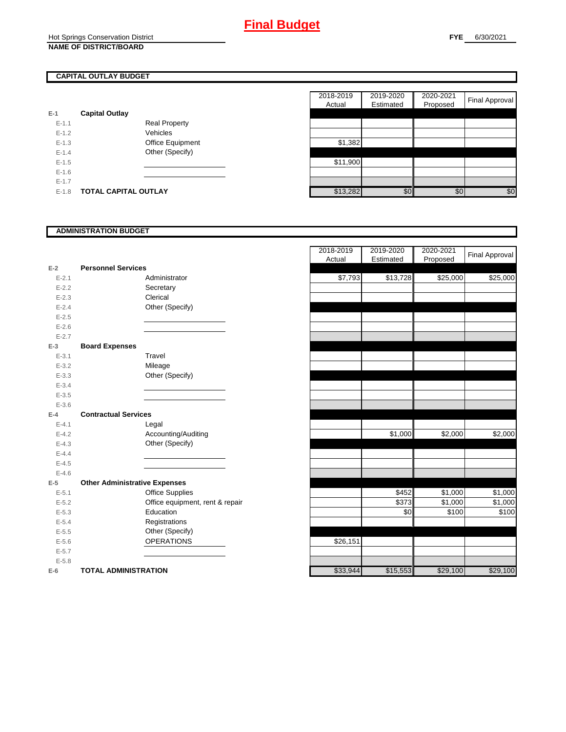#### **CAPITAL OUTLAY BUDGET**

|           |                             |                         | Auudi    |
|-----------|-----------------------------|-------------------------|----------|
| $E-1$     | <b>Capital Outlay</b>       |                         |          |
| $E - 1.1$ |                             | <b>Real Property</b>    |          |
| $E - 1.2$ |                             | Vehicles                |          |
| $E-1.3$   |                             | <b>Office Equipment</b> | \$1,382  |
| $E - 1.4$ |                             | Other (Specify)         |          |
| $E-1.5$   |                             |                         | \$11,900 |
| $E - 1.6$ |                             |                         |          |
| $E - 1.7$ |                             |                         |          |
| $E-1.8$   | <b>TOTAL CAPITAL OUTLAY</b> |                         | \$13.282 |

|           |                             |                      | 2018-2019 | 2019-2020 | 2020-2021 | Final Approval |
|-----------|-----------------------------|----------------------|-----------|-----------|-----------|----------------|
|           |                             |                      | Actual    | Estimated | Proposed  |                |
|           | <b>Capital Outlay</b>       |                      |           |           |           |                |
| $E-1.1$   |                             | <b>Real Property</b> |           |           |           |                |
| $E - 1.2$ |                             | Vehicles             |           |           |           |                |
| $E - 1.3$ |                             | Office Equipment     | \$1,382   |           |           |                |
| $E - 1.4$ |                             | Other (Specify)      |           |           |           |                |
| $E-1.5$   |                             |                      | \$11,900  |           |           |                |
| $E-1.6$   |                             |                      |           |           |           |                |
| $E - 1.7$ |                             |                      |           |           |           |                |
| $E-1.8$   | <b>TOTAL CAPITAL OUTLAY</b> |                      | \$13,282  | \$0       | \$0       | \$0            |

#### **ADMINISTRATION BUDGET**

|           |                                      |                                 | Actual   |
|-----------|--------------------------------------|---------------------------------|----------|
| $E-2$     | <b>Personnel Services</b>            |                                 |          |
| $E - 2.1$ |                                      | Administrator                   | \$7,793  |
| $E-2.2$   |                                      | Secretary                       |          |
| $E - 2.3$ |                                      | Clerical                        |          |
| $E - 2.4$ |                                      | Other (Specify)                 |          |
| $E - 2.5$ |                                      |                                 |          |
| $E - 2.6$ |                                      |                                 |          |
| $E - 2.7$ |                                      |                                 |          |
| $E-3$     | <b>Board Expenses</b>                |                                 |          |
| $E - 3.1$ |                                      | Travel                          |          |
| $E - 3.2$ |                                      | Mileage                         |          |
| $E - 3.3$ |                                      | Other (Specify)                 |          |
| $E - 3.4$ |                                      |                                 |          |
| $E - 3.5$ |                                      |                                 |          |
| $E - 3.6$ |                                      |                                 |          |
| $E-4$     | <b>Contractual Services</b>          |                                 |          |
| $E - 4.1$ |                                      | Legal                           |          |
| $E - 4.2$ |                                      | Accounting/Auditing             |          |
| $E - 4.3$ |                                      | Other (Specify)                 |          |
| $E-4.4$   |                                      |                                 |          |
| $E - 4.5$ |                                      |                                 |          |
| $E-4.6$   |                                      |                                 |          |
| $E-5$     | <b>Other Administrative Expenses</b> |                                 |          |
| $E - 5.1$ |                                      | <b>Office Supplies</b>          |          |
| $E - 5.2$ |                                      | Office equipment, rent & repair |          |
| $E - 5.3$ |                                      | Education                       |          |
| $E - 5.4$ |                                      | Registrations                   |          |
| $E - 5.5$ |                                      | Other (Specify)                 |          |
| $E - 5.6$ |                                      | <b>OPERATIONS</b>               | \$26,151 |
| $E - 5.7$ |                                      |                                 |          |
| $E - 5.8$ |                                      |                                 |          |
| $E-6$     | <b>TOTAL ADMINISTRATION</b>          |                                 | \$33,944 |

|           |                                      | 2018-2019 | 2019-2020 | 2020-2021 | <b>Final Approval</b> |
|-----------|--------------------------------------|-----------|-----------|-----------|-----------------------|
| $E-2$     | <b>Personnel Services</b>            | Actual    | Estimated | Proposed  |                       |
| $E - 2.1$ | Administrator                        | \$7,793   | \$13,728  | \$25,000  | \$25,000              |
| $E - 2.2$ | Secretary                            |           |           |           |                       |
| $E - 2.3$ | Clerical                             |           |           |           |                       |
| $E - 2.4$ | Other (Specify)                      |           |           |           |                       |
| $E - 2.5$ |                                      |           |           |           |                       |
| $E-2.6$   |                                      |           |           |           |                       |
| $E - 2.7$ |                                      |           |           |           |                       |
| $E-3$     | <b>Board Expenses</b>                |           |           |           |                       |
| $E - 3.1$ | Travel                               |           |           |           |                       |
| $E - 3.2$ | Mileage                              |           |           |           |                       |
| $E - 3.3$ | Other (Specify)                      |           |           |           |                       |
| $E - 3.4$ |                                      |           |           |           |                       |
| $E - 3.5$ |                                      |           |           |           |                       |
| $E - 3.6$ |                                      |           |           |           |                       |
| $E-4$     | <b>Contractual Services</b>          |           |           |           |                       |
| $E - 4.1$ | Legal                                |           |           |           |                       |
| $E - 4.2$ | Accounting/Auditing                  |           | \$1,000   | \$2,000   | \$2,000               |
| $E - 4.3$ | Other (Specify)                      |           |           |           |                       |
| $E-4.4$   |                                      |           |           |           |                       |
| $E - 4.5$ |                                      |           |           |           |                       |
| $E - 4.6$ |                                      |           |           |           |                       |
| $E-5$     | <b>Other Administrative Expenses</b> |           |           |           |                       |
| $E - 5.1$ | <b>Office Supplies</b>               |           | \$452     | \$1,000   | \$1,000               |
| $E - 5.2$ | Office equipment, rent & repair      |           | \$373     | \$1,000   | \$1,000               |
| $E - 5.3$ | Education                            |           | \$0       | \$100     | \$100                 |
| $E - 5.4$ | Registrations                        |           |           |           |                       |
| $E - 5.5$ | Other (Specify)                      |           |           |           |                       |
| $E-5.6$   | <b>OPERATIONS</b>                    | \$26,151  |           |           |                       |
| $E - 5.7$ |                                      |           |           |           |                       |
| $E - 5.8$ |                                      |           |           |           |                       |
| $E-6$     | <b>TOTAL ADMINISTRATION</b>          | \$33,944  | \$15,553  | \$29,100  | \$29,100              |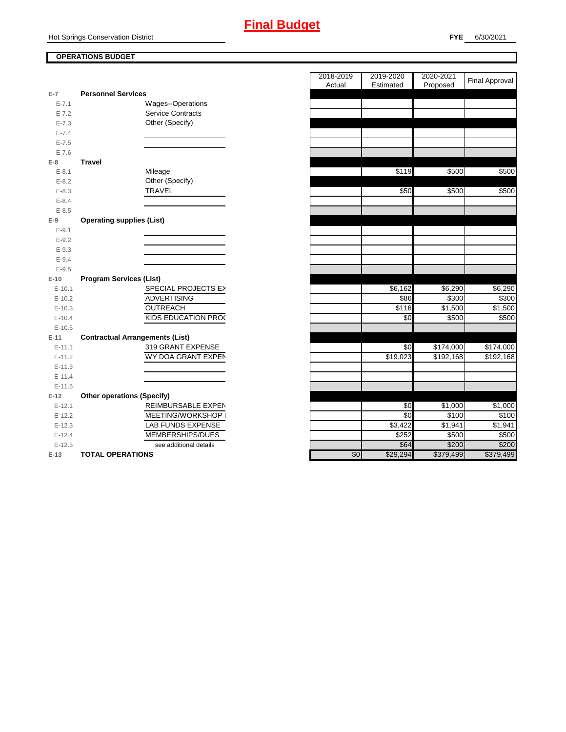**FYE** 6/30/2021

#### **OPERATIONS BUDGET**

| E-7        | <b>Personnel Services</b>              |
|------------|----------------------------------------|
| $E - 7.1$  | <b>Wages--Operations</b>               |
| $E - 7.2$  | <b>Service Contracts</b>               |
| $E - 7.3$  | Other (Specify)                        |
| $E - 7.4$  |                                        |
| $E - 7.5$  |                                        |
| $E - 7.6$  |                                        |
| $E-8$      | <b>Travel</b>                          |
| $E-8.1$    | Mileage                                |
| $E - 8.2$  | Other (Specify)                        |
| $E - 8.3$  | TRAVEL                                 |
| $E - 8.4$  |                                        |
| $E - 8.5$  |                                        |
| E-9        | <b>Operating supplies (List)</b>       |
| $E-9.1$    |                                        |
| $E - 9.2$  |                                        |
| $E - 9.3$  |                                        |
| $E-9.4$    |                                        |
| $E - 9.5$  |                                        |
| $E-10$     | <b>Program Services (List)</b>         |
| $E-10.1$   | <b>SPECIAL PROJECTS EX</b>             |
| $E-10.2$   | <b>ADVERTISING</b>                     |
| $E-10.3$   | OUTREACH                               |
| $E-10.4$   | KIDS EDUCATION PROC                    |
| $E - 10.5$ |                                        |
| $E-11$     | <b>Contractual Arrangements (List)</b> |
| $E-11.1$   | 319 GRANT EXPENSE                      |
| $E-11.2$   | WY DOA GRANT EXPEN                     |
| $E-11.3$   |                                        |
| $E-11.4$   |                                        |
| $E-11.5$   |                                        |
| $E-12$     | <b>Other operations (Specify)</b>      |
| $E-12.1$   | REIMBURSABLE EXPEN                     |
| $E-12.2$   | <b>MEETING/WORKSHOP I</b>              |
| $E-12.3$   | <b>LAB FUNDS EXPENSE</b>               |
| $E-12.4$   | MEMBERSHIPS/DUES                       |
| $E-12.5$   | see additional details                 |
| $E-13$     | <b>TOTAL OPERATIONS</b>                |

|                |                                        | 2018-2019<br><b>Actual</b> | 2019-2020<br>Estimated | 2020-2021<br>Proposed | <b>Final Approval</b> |
|----------------|----------------------------------------|----------------------------|------------------------|-----------------------|-----------------------|
| $\overline{7}$ | <b>Personnel Services</b>              |                            |                        |                       |                       |
| $E - 7.1$      | Wages--Operations                      |                            |                        |                       |                       |
| $E - 7.2$      | <b>Service Contracts</b>               |                            |                        |                       |                       |
| $E - 7.3$      | Other (Specify)                        |                            |                        |                       |                       |
| $E - 7.4$      |                                        |                            |                        |                       |                       |
| $E - 7.5$      |                                        |                            |                        |                       |                       |
| $E - 7.6$      |                                        |                            |                        |                       |                       |
| 8              | <b>Travel</b>                          |                            |                        |                       |                       |
| $E - 8.1$      | Mileage                                |                            | \$119                  | \$500                 | \$500                 |
| $E - 8.2$      | Other (Specify)                        |                            |                        |                       |                       |
| $E - 8.3$      | TRAVEL                                 |                            | \$50                   | \$500                 | \$500                 |
| $E - 8.4$      |                                        |                            |                        |                       |                       |
| $E - 8.5$      |                                        |                            |                        |                       |                       |
| 9              | <b>Operating supplies (List)</b>       |                            |                        |                       |                       |
| $E-9.1$        |                                        |                            |                        |                       |                       |
| $E - 9.2$      |                                        |                            |                        |                       |                       |
| $E - 9.3$      |                                        |                            |                        |                       |                       |
| $E - 9.4$      |                                        |                            |                        |                       |                       |
| $E - 9.5$      |                                        |                            |                        |                       |                       |
| $10^{\circ}$   | <b>Program Services (List)</b>         |                            |                        |                       |                       |
| $E-10.1$       | SPECIAL PROJECTS EX                    |                            | \$6,162                | \$6,290               | \$6,290               |
| $E-10.2$       | <b>ADVERTISING</b>                     |                            | \$86                   | \$300                 | \$300                 |
| $E-10.3$       | <b>OUTREACH</b>                        |                            | \$116                  | \$1,500               | \$1,500               |
| $E-10.4$       | KIDS EDUCATION PROC                    |                            | \$0                    | \$500                 | \$500                 |
| $E-10.5$       |                                        |                            |                        |                       |                       |
| $-11$          | <b>Contractual Arrangements (List)</b> |                            |                        |                       |                       |
| $E-11.1$       | 319 GRANT EXPENSE                      |                            | \$0                    | \$174,000             | \$174,000             |
| $E-11.2$       | WY DOA GRANT EXPEN                     |                            | \$19,023               | \$192,168             | \$192,168             |
| $E-11.3$       |                                        |                            |                        |                       |                       |
| $E-11.4$       |                                        |                            |                        |                       |                       |
| $E-11.5$       |                                        |                            |                        |                       |                       |
| 12             | <b>Other operations (Specify)</b>      |                            |                        |                       |                       |
| $E-12.1$       | REIMBURSABLE EXPEN                     |                            | \$0                    | \$1,000               | \$1,000               |
| $E-12.2$       | MEETING/WORKSHOP I                     |                            | \$0                    | \$100                 | \$100                 |
| $E-12.3$       | <b>LAB FUNDS EXPENSE</b>               |                            | \$3,422                | \$1,941               | \$1,941               |
| $E-12.4$       | MEMBERSHIPS/DUES                       |                            | \$252                  | \$500                 | \$500                 |
| $E-12.5$       | see additional details                 |                            | \$64                   | \$200                 | \$200                 |
| $-13$          | <b>TOTAL OPERATIONS</b>                | \$0                        | \$29,294               | \$379,499             | \$379,499             |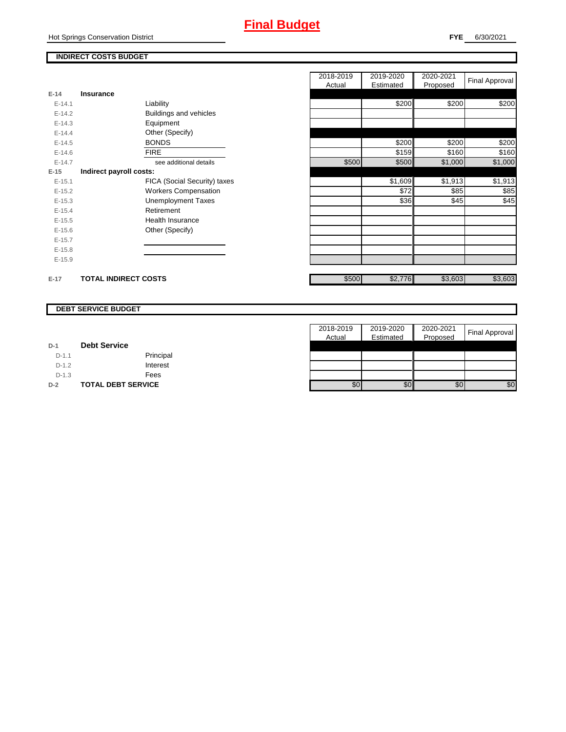#### **INDIRECT COSTS BUDGET**

|          |                              | Actual | Estimated | Proposed |         |
|----------|------------------------------|--------|-----------|----------|---------|
| $E-14$   | Insurance                    |        |           |          |         |
| $E-14.1$ | Liability                    |        | \$200     | \$200    | \$200   |
| $E-14.2$ | Buildings and vehicles       |        |           |          |         |
| $E-14.3$ | Equipment                    |        |           |          |         |
| $E-14.4$ | Other (Specify)              |        |           |          |         |
| $E-14.5$ | <b>BONDS</b>                 |        | \$200     | \$200    | \$200   |
| $E-14.6$ | <b>FIRE</b>                  |        | \$159     | \$160    | \$160   |
| $E-14.7$ | see additional details       | \$500  | \$500     | \$1,000  | \$1,000 |
| $E-15$   | Indirect payroll costs:      |        |           |          |         |
| $E-15.1$ | FICA (Social Security) taxes |        | \$1,609   | \$1,913  | \$1,913 |
| $E-15.2$ | <b>Workers Compensation</b>  |        | \$72      | \$85     | \$85    |
| $E-15.3$ | <b>Unemployment Taxes</b>    |        | \$36II    | \$45     | \$45    |
| $E-15.4$ | Retirement                   |        |           |          |         |
| $E-15.5$ | Health Insurance             |        |           |          |         |
| $E-15.6$ | Other (Specify)              |        |           |          |         |
| $E-15.7$ |                              |        |           |          |         |
| $E-15.8$ |                              |        |           |          |         |
| $E-15.9$ |                              |        |           |          |         |
| $E-17$   | <b>TOTAL INDIRECT COSTS</b>  | \$500  | \$2,776   | \$3,603  | \$3,603 |

| 2018-2019<br>Actual | 2019-2020<br>Estimated | 2020-2021<br>Proposed | <b>Final Approval</b> |
|---------------------|------------------------|-----------------------|-----------------------|
|                     |                        |                       |                       |
|                     | \$200                  | \$200                 | \$200                 |
|                     |                        |                       |                       |
|                     |                        |                       |                       |
|                     |                        |                       |                       |
|                     | \$200                  | \$200                 | \$200                 |
|                     | \$159                  | \$160                 | \$160                 |
| \$500               | \$500                  | \$1,000               | \$1,000               |
|                     |                        |                       |                       |
|                     | \$1,609                | \$1,913               | \$1,913               |
|                     | \$72                   | \$85                  | \$85                  |
|                     | \$36                   | \$45                  | \$45                  |
|                     |                        |                       |                       |
|                     |                        |                       |                       |
|                     |                        |                       |                       |
|                     |                        |                       |                       |
|                     |                        |                       |                       |
|                     |                        |                       |                       |
|                     |                        |                       |                       |
| \$500               | \$2,776                | \$3,603               | \$3,603               |

#### **DEBT SERVICE BUDGET**

|         |                           | 2018-2019 | 2019-2020 | 2020-2021 | Final Approval |
|---------|---------------------------|-----------|-----------|-----------|----------------|
|         |                           | Actual    | Estimated | Proposed  |                |
| $D-1$   | <b>Debt Service</b>       |           |           |           |                |
| $D-1.1$ | Principal                 |           |           |           |                |
| $D-1.2$ | Interest                  |           |           |           |                |
| $D-1.3$ | Fees                      |           |           |           |                |
| $D-2$   | <b>TOTAL DEBT SERVICE</b> | \$0       | \$0       | \$0       | \$0            |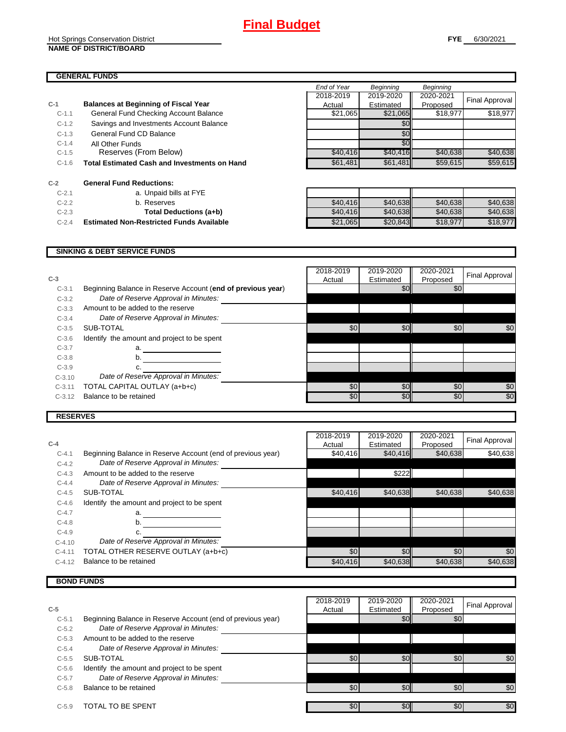#### Hot Springs Conservation District **NAME OF DISTRICT/BOARD**

|         |                                                     | End of Year | Beginning | <b>Beginning</b> |                       |
|---------|-----------------------------------------------------|-------------|-----------|------------------|-----------------------|
|         |                                                     | 2018-2019   | 2019-2020 | 2020-2021        | <b>Final Approval</b> |
| $C-1$   | <b>Balances at Beginning of Fiscal Year</b>         | Actual      | Estimated | Proposed         |                       |
| $C-1.1$ | General Fund Checking Account Balance               | \$21,065    | \$21,065  | \$18,977         | \$18,977              |
| $C-1.2$ | Savings and Investments Account Balance             |             |           |                  |                       |
| $C-1.3$ | General Fund CD Balance                             |             | \$0       |                  |                       |
| $C-1.4$ | All Other Funds                                     |             | \$0       |                  |                       |
| $C-1.5$ | Reserves (From Below)                               | \$40,416    | \$40,416  | \$40,638         | \$40,638              |
| $C-1.6$ | <b>Total Estimated Cash and Investments on Hand</b> | \$61,481    | \$61,481  | \$59,615         | \$59,615              |
| $C-2$   | <b>General Fund Reductions:</b>                     |             |           |                  |                       |
| $C-2.1$ | a. Unpaid bills at FYE                              |             |           |                  |                       |
| $C-2.2$ | b. Reserves                                         | \$40,416    | \$40,638  | \$40,638         | \$40,638              |
| $C-2.3$ | Total Deductions (a+b)                              | \$40,416    | \$40,638  | \$40,638         | \$40,638              |
| $C-2.4$ | <b>Estimated Non-Restricted Funds Available</b>     | \$21.065    | \$20,843  | \$18,977         | \$18,977              |

#### **SINKING & DEBT SERVICE FUNDS**

| $C-3$    |                                                             | 2018-2019<br>Actual | 2019-2020<br>Estimated | 2020-2021<br>Proposed | <b>Final Approval</b> |
|----------|-------------------------------------------------------------|---------------------|------------------------|-----------------------|-----------------------|
| $C-3.1$  | Beginning Balance in Reserve Account (end of previous year) |                     | \$0                    | \$0                   |                       |
| $C-3.2$  | Date of Reserve Approval in Minutes:                        |                     |                        |                       |                       |
| $C-3.3$  | Amount to be added to the reserve                           |                     |                        |                       |                       |
| $C-3.4$  | Date of Reserve Approval in Minutes:                        |                     |                        |                       |                       |
| $C-3.5$  | SUB-TOTAL                                                   | \$0                 | \$0 <sub>l</sub>       | \$0                   | \$0                   |
| $C-3.6$  | Identify the amount and project to be spent                 |                     |                        |                       |                       |
| $C-3.7$  | а.                                                          |                     |                        |                       |                       |
| $C-3.8$  | b.                                                          |                     |                        |                       |                       |
| $C-3.9$  |                                                             |                     |                        |                       |                       |
| $C-3.10$ | Date of Reserve Approval in Minutes:                        |                     |                        |                       |                       |
| $C-3.11$ | TOTAL CAPITAL OUTLAY (a+b+c)                                | \$0                 | \$0                    | \$0                   | \$0                   |
| $C-3.12$ | Balance to be retained                                      | \$0                 | \$0                    | \$0                   | \$0                   |

#### **RESERVES**

Г

|            |                                                             | 2018-2019 | 2019-2020 | 2020-2021 | Final Approval |
|------------|-------------------------------------------------------------|-----------|-----------|-----------|----------------|
| $C-4$      |                                                             | Actual    | Estimated | Proposed  |                |
| $C-4.1$    | Beginning Balance in Reserve Account (end of previous year) | \$40,416  | \$40,416  | \$40,638  | \$40,638       |
| $C - 4.2$  | Date of Reserve Approval in Minutes:                        |           |           |           |                |
| $C-4.3$    | Amount to be added to the reserve                           |           | \$222     |           |                |
| $C-4.4$    | Date of Reserve Approval in Minutes:                        |           |           |           |                |
| $C-4.5$    | SUB-TOTAL                                                   | \$40,416  | \$40,638  | \$40,638  | \$40.638       |
| $C-4.6$    | Identify the amount and project to be spent                 |           |           |           |                |
| $C-4.7$    | a.                                                          |           |           |           |                |
| $C-4.8$    | b.                                                          |           |           |           |                |
| $C-4.9$    |                                                             |           |           |           |                |
| $C-4.10$   | Date of Reserve Approval in Minutes:                        |           |           |           |                |
| $C - 4.11$ | TOTAL OTHER RESERVE OUTLAY (a+b+c)                          | \$0       | \$0       | \$0       | \$0            |
| $C-4.12$   | Balance to be retained                                      | \$40,416  | \$40,638  | \$40,638  | \$40,638       |

### **BOND FUNDS**

|         |                                                             | 2018-2019 | 2019-2020 | 2020-2021 |                |
|---------|-------------------------------------------------------------|-----------|-----------|-----------|----------------|
| $C-5$   |                                                             | Actual    | Estimated | Proposed  | Final Approval |
| $C-5.1$ | Beginning Balance in Reserve Account (end of previous year) |           | \$0       | \$0       |                |
| $C-5.2$ | Date of Reserve Approval in Minutes:                        |           |           |           |                |
| $C-5.3$ | Amount to be added to the reserve                           |           |           |           |                |
| $C-5.4$ | Date of Reserve Approval in Minutes:                        |           |           |           |                |
| $C-5.5$ | SUB-TOTAL                                                   | \$0       | \$0       | \$0       | \$0            |
| $C-5.6$ | Identify the amount and project to be spent                 |           |           |           |                |
| $C-5.7$ | Date of Reserve Approval in Minutes:                        |           |           |           |                |
| $C-5.8$ | Balance to be retained                                      | \$0       | \$0       | \$0       | \$0            |
|         |                                                             |           |           |           |                |
| $C-5.9$ | TOTAL TO BE SPENT                                           | \$0       | \$0       | \$0       | \$0            |